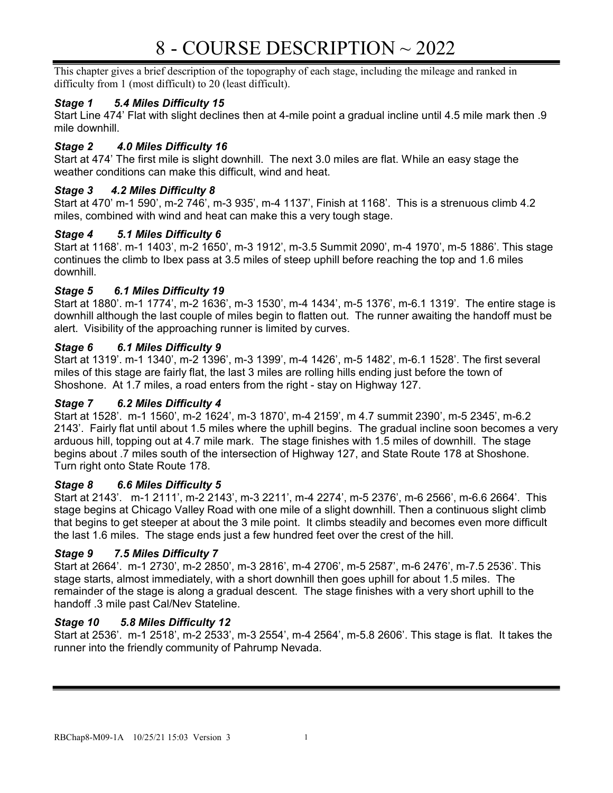# 8 - COURSE DESCRIPTION ~ 2022

This chapter gives a brief description of the topography of each stage, including the mileage and ranked in difficulty from 1 (most difficult) to 20 (least difficult).

# Stage 1 5.4 Miles Difficulty 15

Start Line 474' Flat with slight declines then at 4-mile point a gradual incline until 4.5 mile mark then .9 mile downhill.

# Stage 2 4.0 Miles Difficulty 16

Start at 474' The first mile is slight downhill. The next 3.0 miles are flat. While an easy stage the weather conditions can make this difficult, wind and heat.

## Stage 3 4.2 Miles Difficulty 8

Start at 470' m-1 590', m-2 746', m-3 935', m-4 1137', Finish at 1168'. This is a strenuous climb 4.2 miles, combined with wind and heat can make this a very tough stage.

## Stage 4 5.1 Miles Difficulty 6

Start at 1168'. m-1 1403', m-2 1650', m-3 1912', m-3.5 Summit 2090', m-4 1970', m-5 1886'. This stage continues the climb to Ibex pass at 3.5 miles of steep uphill before reaching the top and 1.6 miles downhill.

## Stage 5 6.1 Miles Difficulty 19

Start at 1880'. m-1 1774', m-2 1636', m-3 1530', m-4 1434', m-5 1376', m-6.1 1319'. The entire stage is downhill although the last couple of miles begin to flatten out. The runner awaiting the handoff must be alert. Visibility of the approaching runner is limited by curves.

## Stage 6 6.1 Miles Difficulty 9

Start at 1319'. m-1 1340', m-2 1396', m-3 1399', m-4 1426', m-5 1482', m-6.1 1528'. The first several miles of this stage are fairly flat, the last 3 miles are rolling hills ending just before the town of Shoshone. At 1.7 miles, a road enters from the right - stay on Highway 127.

## Stage 7 6.2 Miles Difficulty 4

Start at 1528'. m-1 1560', m-2 1624', m-3 1870', m-4 2159', m 4.7 summit 2390', m-5 2345', m-6.2 2143'. Fairly flat until about 1.5 miles where the uphill begins. The gradual incline soon becomes a very arduous hill, topping out at 4.7 mile mark. The stage finishes with 1.5 miles of downhill. The stage begins about .7 miles south of the intersection of Highway 127, and State Route 178 at Shoshone. Turn right onto State Route 178.

## Stage 8 6.6 Miles Difficulty 5

Start at 2143'. m-1 2111', m-2 2143', m-3 2211', m-4 2274', m-5 2376', m-6 2566', m-6.6 2664'. This stage begins at Chicago Valley Road with one mile of a slight downhill. Then a continuous slight climb that begins to get steeper at about the 3 mile point. It climbs steadily and becomes even more difficult the last 1.6 miles. The stage ends just a few hundred feet over the crest of the hill.

# Stage 9 7.5 Miles Difficulty 7

Start at 2664'. m-1 2730', m-2 2850', m-3 2816', m-4 2706', m-5 2587', m-6 2476', m-7.5 2536'. This stage starts, almost immediately, with a short downhill then goes uphill for about 1.5 miles. The remainder of the stage is along a gradual descent. The stage finishes with a very short uphill to the handoff .3 mile past Cal/Nev Stateline.

## Stage 10 5.8 Miles Difficulty 12

Start at 2536'. m-1 2518', m-2 2533', m-3 2554', m-4 2564', m-5.8 2606'. This stage is flat. It takes the runner into the friendly community of Pahrump Nevada.